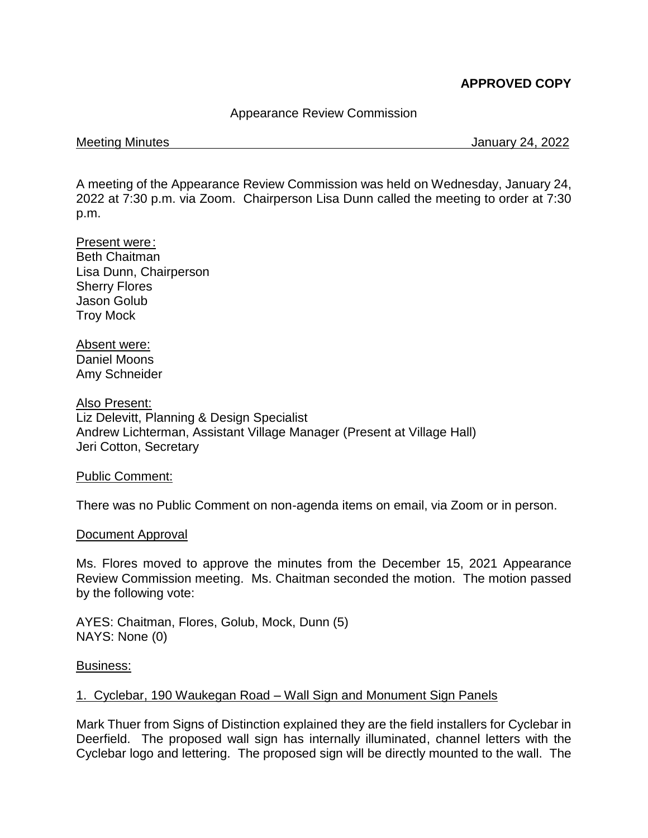# **APPROVED COPY**

## Appearance Review Commission

Meeting Minutes **January 24, 2022** 

A meeting of the Appearance Review Commission was held on Wednesday, January 24, 2022 at 7:30 p.m. via Zoom. Chairperson Lisa Dunn called the meeting to order at 7:30 p.m.

- Present were: Beth Chaitman Lisa Dunn, Chairperson Sherry Flores Jason Golub Troy Mock
- Absent were: Daniel Moons Amy Schneider

Also Present: Liz Delevitt, Planning & Design Specialist Andrew Lichterman, Assistant Village Manager (Present at Village Hall) Jeri Cotton, Secretary

### Public Comment:

There was no Public Comment on non-agenda items on email, via Zoom or in person.

#### Document Approval

Ms. Flores moved to approve the minutes from the December 15, 2021 Appearance Review Commission meeting. Ms. Chaitman seconded the motion. The motion passed by the following vote:

AYES: Chaitman, Flores, Golub, Mock, Dunn (5) NAYS: None (0)

#### Business:

### 1. Cyclebar, 190 Waukegan Road – Wall Sign and Monument Sign Panels

Mark Thuer from Signs of Distinction explained they are the field installers for Cyclebar in Deerfield. The proposed wall sign has internally illuminated, channel letters with the Cyclebar logo and lettering. The proposed sign will be directly mounted to the wall. The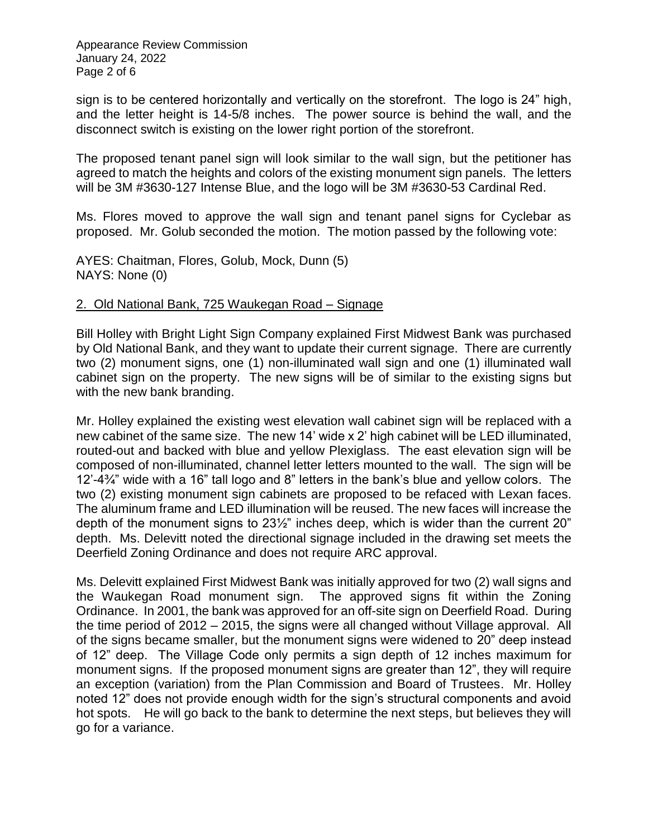Appearance Review Commission January 24, 2022 Page 2 of 6

sign is to be centered horizontally and vertically on the storefront. The logo is 24" high, and the letter height is 14-5/8 inches. The power source is behind the wall, and the disconnect switch is existing on the lower right portion of the storefront.

The proposed tenant panel sign will look similar to the wall sign, but the petitioner has agreed to match the heights and colors of the existing monument sign panels. The letters will be 3M #3630-127 Intense Blue, and the logo will be 3M #3630-53 Cardinal Red.

Ms. Flores moved to approve the wall sign and tenant panel signs for Cyclebar as proposed. Mr. Golub seconded the motion. The motion passed by the following vote:

AYES: Chaitman, Flores, Golub, Mock, Dunn (5) NAYS: None (0)

## 2. Old National Bank, 725 Waukegan Road – Signage

Bill Holley with Bright Light Sign Company explained First Midwest Bank was purchased by Old National Bank, and they want to update their current signage. There are currently two (2) monument signs, one (1) non-illuminated wall sign and one (1) illuminated wall cabinet sign on the property. The new signs will be of similar to the existing signs but with the new bank branding.

Mr. Holley explained the existing west elevation wall cabinet sign will be replaced with a new cabinet of the same size. The new 14' wide x 2' high cabinet will be LED illuminated, routed-out and backed with blue and yellow Plexiglass. The east elevation sign will be composed of non-illuminated, channel letter letters mounted to the wall. The sign will be 12'-4¾" wide with a 16" tall logo and 8" letters in the bank's blue and yellow colors. The two (2) existing monument sign cabinets are proposed to be refaced with Lexan faces. The aluminum frame and LED illumination will be reused. The new faces will increase the depth of the monument signs to 23½" inches deep, which is wider than the current 20" depth. Ms. Delevitt noted the directional signage included in the drawing set meets the Deerfield Zoning Ordinance and does not require ARC approval.

Ms. Delevitt explained First Midwest Bank was initially approved for two (2) wall signs and the Waukegan Road monument sign. The approved signs fit within the Zoning Ordinance. In 2001, the bank was approved for an off-site sign on Deerfield Road. During the time period of 2012 – 2015, the signs were all changed without Village approval. All of the signs became smaller, but the monument signs were widened to 20" deep instead of 12" deep. The Village Code only permits a sign depth of 12 inches maximum for monument signs. If the proposed monument signs are greater than 12", they will require an exception (variation) from the Plan Commission and Board of Trustees. Mr. Holley noted 12" does not provide enough width for the sign's structural components and avoid hot spots. He will go back to the bank to determine the next steps, but believes they will go for a variance.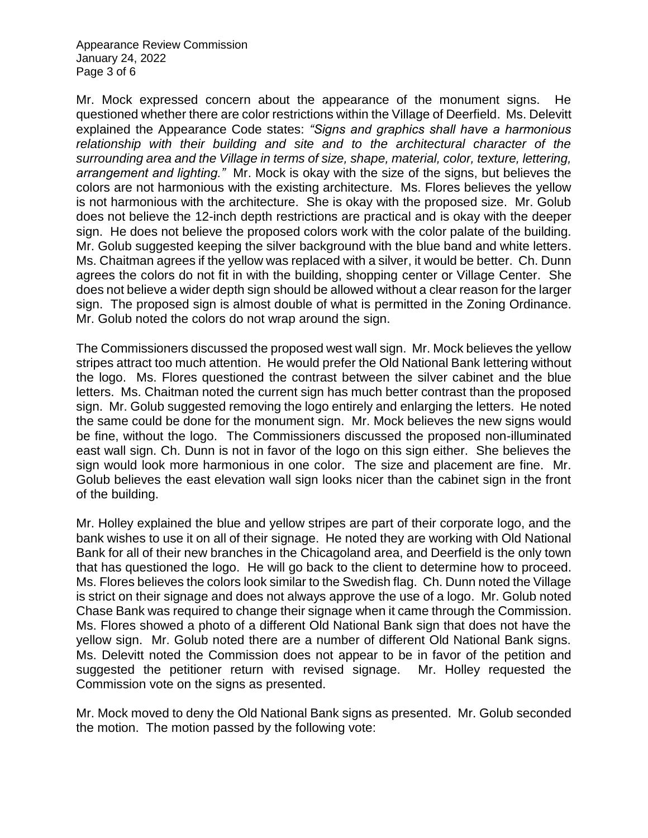Appearance Review Commission January 24, 2022 Page 3 of 6

Mr. Mock expressed concern about the appearance of the monument signs. He questioned whether there are color restrictions within the Village of Deerfield. Ms. Delevitt explained the Appearance Code states: *"Signs and graphics shall have a harmonious relationship with their building and site and to the architectural character of the surrounding area and the Village in terms of size, shape, material, color, texture, lettering, arrangement and lighting."* Mr. Mock is okay with the size of the signs, but believes the colors are not harmonious with the existing architecture. Ms. Flores believes the yellow is not harmonious with the architecture. She is okay with the proposed size. Mr. Golub does not believe the 12-inch depth restrictions are practical and is okay with the deeper sign. He does not believe the proposed colors work with the color palate of the building. Mr. Golub suggested keeping the silver background with the blue band and white letters. Ms. Chaitman agrees if the yellow was replaced with a silver, it would be better. Ch. Dunn agrees the colors do not fit in with the building, shopping center or Village Center. She does not believe a wider depth sign should be allowed without a clear reason for the larger sign. The proposed sign is almost double of what is permitted in the Zoning Ordinance. Mr. Golub noted the colors do not wrap around the sign.

The Commissioners discussed the proposed west wall sign. Mr. Mock believes the yellow stripes attract too much attention. He would prefer the Old National Bank lettering without the logo. Ms. Flores questioned the contrast between the silver cabinet and the blue letters. Ms. Chaitman noted the current sign has much better contrast than the proposed sign. Mr. Golub suggested removing the logo entirely and enlarging the letters. He noted the same could be done for the monument sign. Mr. Mock believes the new signs would be fine, without the logo. The Commissioners discussed the proposed non-illuminated east wall sign. Ch. Dunn is not in favor of the logo on this sign either. She believes the sign would look more harmonious in one color. The size and placement are fine. Mr. Golub believes the east elevation wall sign looks nicer than the cabinet sign in the front of the building.

Mr. Holley explained the blue and yellow stripes are part of their corporate logo, and the bank wishes to use it on all of their signage. He noted they are working with Old National Bank for all of their new branches in the Chicagoland area, and Deerfield is the only town that has questioned the logo. He will go back to the client to determine how to proceed. Ms. Flores believes the colors look similar to the Swedish flag. Ch. Dunn noted the Village is strict on their signage and does not always approve the use of a logo. Mr. Golub noted Chase Bank was required to change their signage when it came through the Commission. Ms. Flores showed a photo of a different Old National Bank sign that does not have the yellow sign. Mr. Golub noted there are a number of different Old National Bank signs. Ms. Delevitt noted the Commission does not appear to be in favor of the petition and suggested the petitioner return with revised signage. Mr. Holley requested the Commission vote on the signs as presented.

Mr. Mock moved to deny the Old National Bank signs as presented. Mr. Golub seconded the motion. The motion passed by the following vote: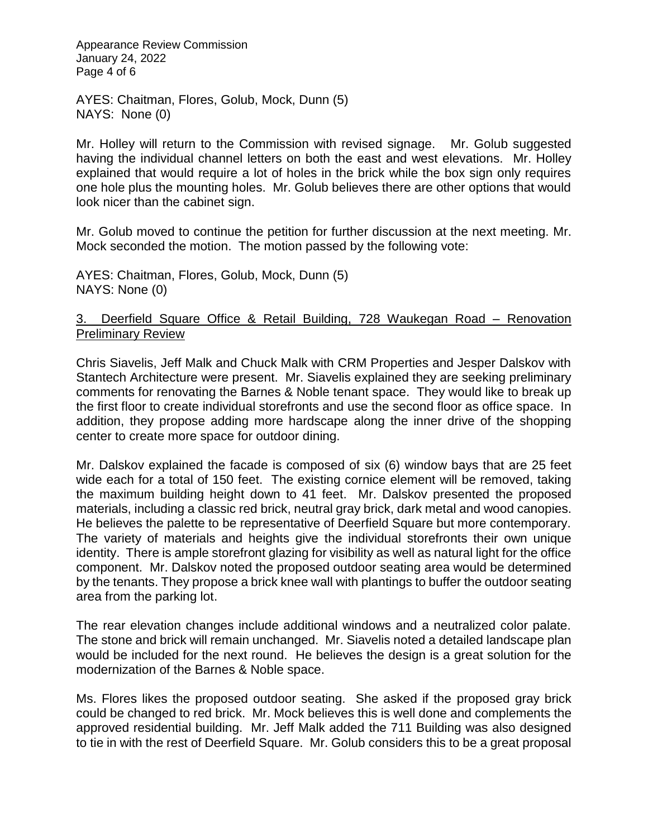Appearance Review Commission January 24, 2022 Page 4 of 6

AYES: Chaitman, Flores, Golub, Mock, Dunn (5) NAYS: None (0)

Mr. Holley will return to the Commission with revised signage. Mr. Golub suggested having the individual channel letters on both the east and west elevations. Mr. Holley explained that would require a lot of holes in the brick while the box sign only requires one hole plus the mounting holes. Mr. Golub believes there are other options that would look nicer than the cabinet sign.

Mr. Golub moved to continue the petition for further discussion at the next meeting. Mr. Mock seconded the motion. The motion passed by the following vote:

AYES: Chaitman, Flores, Golub, Mock, Dunn (5) NAYS: None (0)

## 3. Deerfield Square Office & Retail Building, 728 Waukegan Road – Renovation Preliminary Review

Chris Siavelis, Jeff Malk and Chuck Malk with CRM Properties and Jesper Dalskov with Stantech Architecture were present. Mr. Siavelis explained they are seeking preliminary comments for renovating the Barnes & Noble tenant space. They would like to break up the first floor to create individual storefronts and use the second floor as office space. In addition, they propose adding more hardscape along the inner drive of the shopping center to create more space for outdoor dining.

Mr. Dalskov explained the facade is composed of six (6) window bays that are 25 feet wide each for a total of 150 feet. The existing cornice element will be removed, taking the maximum building height down to 41 feet. Mr. Dalskov presented the proposed materials, including a classic red brick, neutral gray brick, dark metal and wood canopies. He believes the palette to be representative of Deerfield Square but more contemporary. The variety of materials and heights give the individual storefronts their own unique identity. There is ample storefront glazing for visibility as well as natural light for the office component. Mr. Dalskov noted the proposed outdoor seating area would be determined by the tenants. They propose a brick knee wall with plantings to buffer the outdoor seating area from the parking lot.

The rear elevation changes include additional windows and a neutralized color palate. The stone and brick will remain unchanged. Mr. Siavelis noted a detailed landscape plan would be included for the next round. He believes the design is a great solution for the modernization of the Barnes & Noble space.

Ms. Flores likes the proposed outdoor seating. She asked if the proposed gray brick could be changed to red brick. Mr. Mock believes this is well done and complements the approved residential building. Mr. Jeff Malk added the 711 Building was also designed to tie in with the rest of Deerfield Square. Mr. Golub considers this to be a great proposal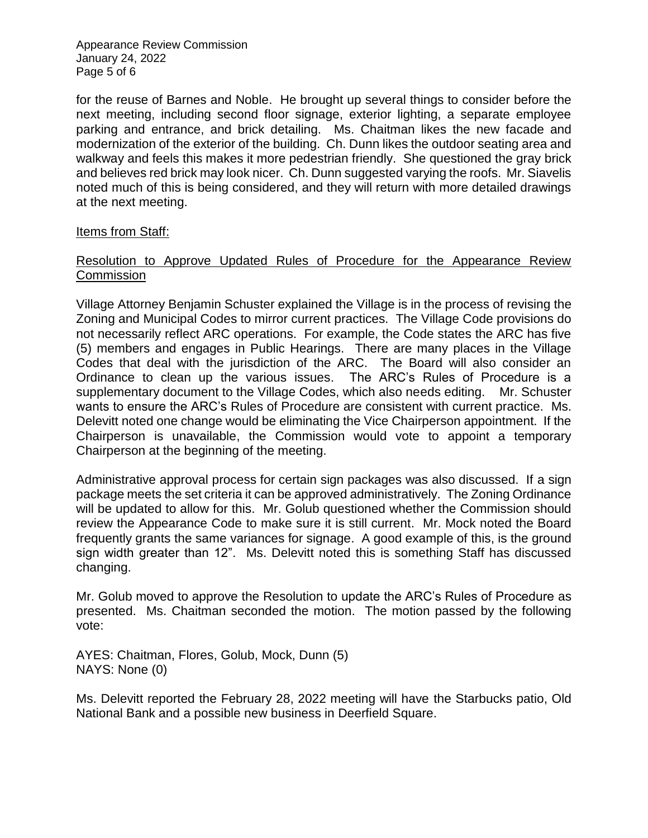Appearance Review Commission January 24, 2022 Page 5 of 6

for the reuse of Barnes and Noble. He brought up several things to consider before the next meeting, including second floor signage, exterior lighting, a separate employee parking and entrance, and brick detailing. Ms. Chaitman likes the new facade and modernization of the exterior of the building. Ch. Dunn likes the outdoor seating area and walkway and feels this makes it more pedestrian friendly. She questioned the gray brick and believes red brick may look nicer. Ch. Dunn suggested varying the roofs. Mr. Siavelis noted much of this is being considered, and they will return with more detailed drawings at the next meeting.

## Items from Staff:

## Resolution to Approve Updated Rules of Procedure for the Appearance Review **Commission**

Village Attorney Benjamin Schuster explained the Village is in the process of revising the Zoning and Municipal Codes to mirror current practices. The Village Code provisions do not necessarily reflect ARC operations. For example, the Code states the ARC has five (5) members and engages in Public Hearings. There are many places in the Village Codes that deal with the jurisdiction of the ARC. The Board will also consider an Ordinance to clean up the various issues. The ARC's Rules of Procedure is a supplementary document to the Village Codes, which also needs editing. Mr. Schuster wants to ensure the ARC's Rules of Procedure are consistent with current practice. Ms. Delevitt noted one change would be eliminating the Vice Chairperson appointment. If the Chairperson is unavailable, the Commission would vote to appoint a temporary Chairperson at the beginning of the meeting.

Administrative approval process for certain sign packages was also discussed. If a sign package meets the set criteria it can be approved administratively. The Zoning Ordinance will be updated to allow for this. Mr. Golub questioned whether the Commission should review the Appearance Code to make sure it is still current. Mr. Mock noted the Board frequently grants the same variances for signage. A good example of this, is the ground sign width greater than 12". Ms. Delevitt noted this is something Staff has discussed changing.

Mr. Golub moved to approve the Resolution to update the ARC's Rules of Procedure as presented. Ms. Chaitman seconded the motion. The motion passed by the following vote:

AYES: Chaitman, Flores, Golub, Mock, Dunn (5) NAYS: None (0)

Ms. Delevitt reported the February 28, 2022 meeting will have the Starbucks patio, Old National Bank and a possible new business in Deerfield Square.